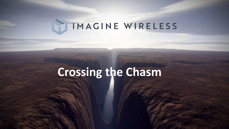# IMAGINE WIRELESS

# **Crossing the Chasm**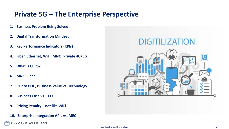### **Private 5G – The Enterprise Perspective**

- **1. Business Problem Being Solved**
- **2. Digital Transformation Mindset**
- **3. Key Performance Indicators (KPIs)**
- **4. Fiber, Ethernet, WiFi, MNO, Private 4G/5G**
- **5. What is CBRS?**
- **6. MNO… ???**
- **7. RFP to POC, Business Value vs. Technology**
- **8. Business Case vs. TCO**
- **9. Pricing Penalty – not like WiFi**
- **10. Enterprise Integration APIs vs. MEC**



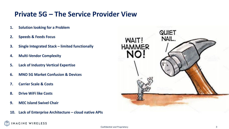### **Private 5G – The Service Provider View**

- **1. Solution looking for a Problem**
- **2. Speeds & Feeds Focus**
- **3. Single Integrated Stack – limited functionally**
- **4. Multi-Vendor Complexity**
- **5. Lack of Industry Vertical Expertise**
- **6. MNO 5G Market Confusion & Devices**
- **7. Carrier Scale & Costs**
- **8. Drive WiFi like Costs**

**MAGINE WIRELESS** 

- **9. MEC Island Swivel Chair**
- **10. Lack of Enterprise Architecture – cloud native APIs**